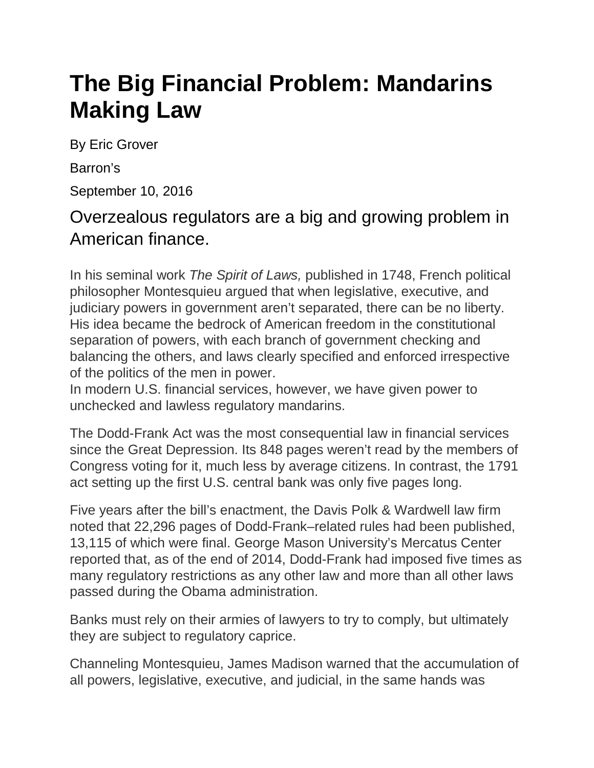## **The Big Financial Problem: Mandarins Making Law**

By Eric Grover

Barron's

September 10, 2016

## Overzealous regulators are a big and growing problem in American finance.

In his seminal work *The Spirit of Laws,* published in 1748, French political philosopher Montesquieu argued that when legislative, executive, and judiciary powers in government aren't separated, there can be no liberty. His idea became the bedrock of American freedom in the constitutional separation of powers, with each branch of government checking and balancing the others, and laws clearly specified and enforced irrespective of the politics of the men in power.

In modern U.S. financial services, however, we have given power to unchecked and lawless regulatory mandarins.

The Dodd-Frank Act was the most consequential law in financial services since the Great Depression. Its 848 pages weren't read by the members of Congress voting for it, much less by average citizens. In contrast, the 1791 act setting up the first U.S. central bank was only five pages long.

Five years after the bill's enactment, the Davis Polk & Wardwell law firm noted that 22,296 pages of Dodd-Frank–related rules had been published, 13,115 of which were final. George Mason University's Mercatus Center reported that, as of the end of 2014, Dodd-Frank had imposed five times as many regulatory restrictions as any other law and more than all other laws passed during the Obama administration.

Banks must rely on their armies of lawyers to try to comply, but ultimately they are subject to regulatory caprice.

Channeling Montesquieu, James Madison warned that the accumulation of all powers, legislative, executive, and judicial, in the same hands was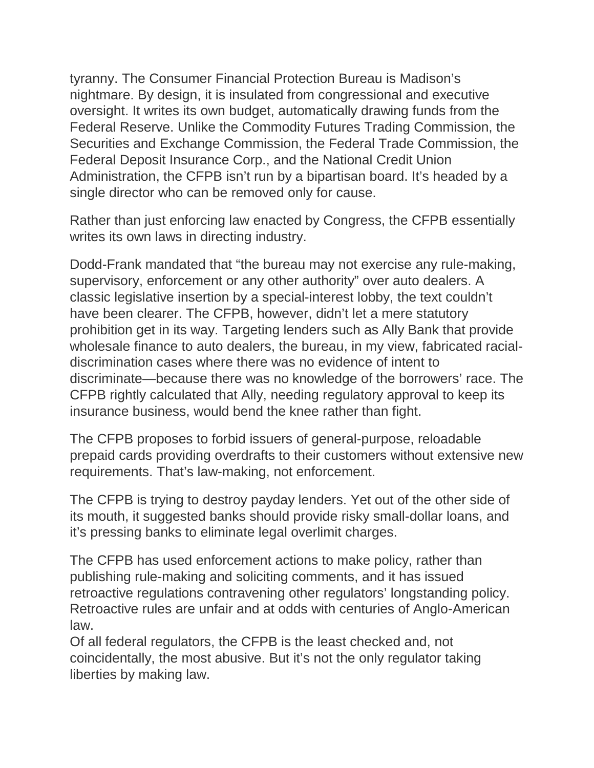tyranny. The Consumer Financial Protection Bureau is Madison's nightmare. By design, it is insulated from congressional and executive oversight. It writes its own budget, automatically drawing funds from the Federal Reserve. Unlike the Commodity Futures Trading Commission, the Securities and Exchange Commission, the Federal Trade Commission, the Federal Deposit Insurance Corp., and the National Credit Union Administration, the CFPB isn't run by a bipartisan board. It's headed by a single director who can be removed only for cause.

Rather than just enforcing law enacted by Congress, the CFPB essentially writes its own laws in directing industry.

Dodd-Frank mandated that "the bureau may not exercise any rule-making, supervisory, enforcement or any other authority" over auto dealers. A classic legislative insertion by a special-interest lobby, the text couldn't have been clearer. The CFPB, however, didn't let a mere statutory prohibition get in its way. Targeting lenders such as Ally Bank that provide wholesale finance to auto dealers, the bureau, in my view, fabricated racialdiscrimination cases where there was no evidence of intent to discriminate—because there was no knowledge of the borrowers' race. The CFPB rightly calculated that Ally, needing regulatory approval to keep its insurance business, would bend the knee rather than fight.

The CFPB proposes to forbid issuers of general-purpose, reloadable prepaid cards providing overdrafts to their customers without extensive new requirements. That's law-making, not enforcement.

The CFPB is trying to destroy payday lenders. Yet out of the other side of its mouth, it suggested banks should provide risky small-dollar loans, and it's pressing banks to eliminate legal overlimit charges.

The CFPB has used enforcement actions to make policy, rather than publishing rule-making and soliciting comments, and it has issued retroactive regulations contravening other regulators' longstanding policy. Retroactive rules are unfair and at odds with centuries of Anglo-American law.

Of all federal regulators, the CFPB is the least checked and, not coincidentally, the most abusive. But it's not the only regulator taking liberties by making law.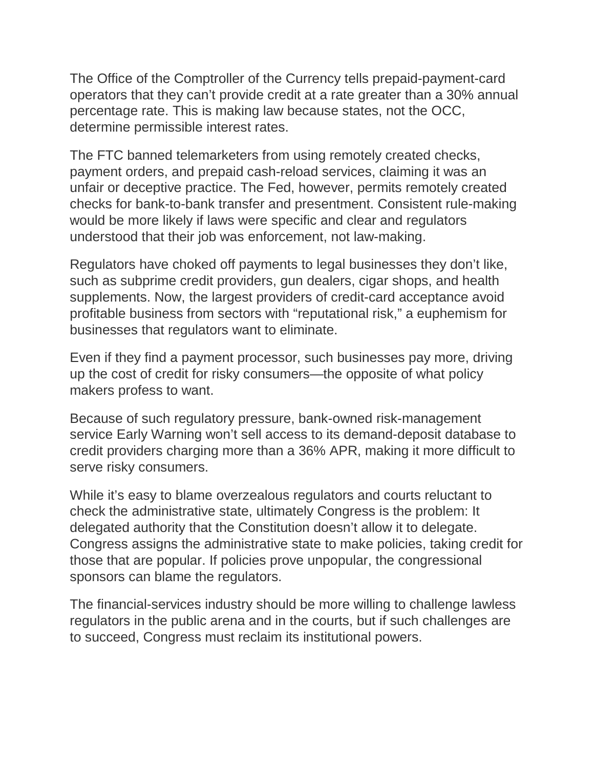The Office of the Comptroller of the Currency tells prepaid-payment-card operators that they can't provide credit at a rate greater than a 30% annual percentage rate. This is making law because states, not the OCC, determine permissible interest rates.

The FTC banned telemarketers from using remotely created checks, payment orders, and prepaid cash-reload services, claiming it was an unfair or deceptive practice. The Fed, however, permits remotely created checks for bank-to-bank transfer and presentment. Consistent rule-making would be more likely if laws were specific and clear and regulators understood that their job was enforcement, not law-making.

Regulators have choked off payments to legal businesses they don't like, such as subprime credit providers, gun dealers, cigar shops, and health supplements. Now, the largest providers of credit-card acceptance avoid profitable business from sectors with "reputational risk," a euphemism for businesses that regulators want to eliminate.

Even if they find a payment processor, such businesses pay more, driving up the cost of credit for risky consumers—the opposite of what policy makers profess to want.

Because of such regulatory pressure, bank-owned risk-management service Early Warning won't sell access to its demand-deposit database to credit providers charging more than a 36% APR, making it more difficult to serve risky consumers.

While it's easy to blame overzealous regulators and courts reluctant to check the administrative state, ultimately Congress is the problem: It delegated authority that the Constitution doesn't allow it to delegate. Congress assigns the administrative state to make policies, taking credit for those that are popular. If policies prove unpopular, the congressional sponsors can blame the regulators.

The financial-services industry should be more willing to challenge lawless regulators in the public arena and in the courts, but if such challenges are to succeed, Congress must reclaim its institutional powers.